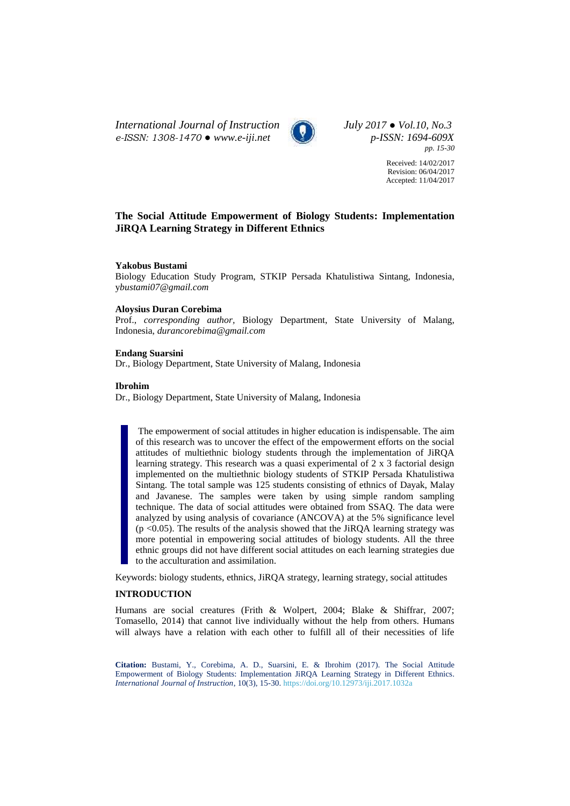*International Journal of Instruction July 2017 ● Vol.10, No.3 e-ISSN: 1308-1470 ● [www.e-iji.net](http://www.e-iji.net/) p-ISSN: 1694-609X*



*pp. 15-30*

Received: 14/02/2017 Revision: 06/04/2017 Accepted: 11/04/2017

# **The Social Attitude Empowerment of Biology Students: Implementation JiRQA Learning Strategy in Different Ethnics**

**Yakobus Bustami**

Biology Education Study Program, STKIP Persada Khatulistiwa Sintang, Indonesia, y*bustami07@gmail.com*

# **Aloysius Duran Corebima**

Prof., *corresponding author,* Biology Department, State University of Malang, Indonesia, *durancorebima@gmail.com*

## **Endang Suarsini**

Dr., Biology Department, State University of Malang, Indonesia

## **Ibrohim**

Dr., Biology Department, State University of Malang, Indonesia

The empowerment of social attitudes in higher education is indispensable. The aim of this research was to uncover the effect of the empowerment efforts on the social attitudes of multiethnic biology students through the implementation of JiRQA learning strategy. This research was a quasi experimental of 2 x 3 factorial design implemented on the multiethnic biology students of STKIP Persada Khatulistiwa Sintang. The total sample was 125 students consisting of ethnics of Dayak, Malay and Javanese. The samples were taken by using simple random sampling technique. The data of social attitudes were obtained from SSAQ. The data were analyzed by using analysis of covariance (ANCOVA) at the 5% significance level  $(p \le 0.05)$ . The results of the analysis showed that the JiRQA learning strategy was more potential in empowering social attitudes of biology students. All the three ethnic groups did not have different social attitudes on each learning strategies due to the acculturation and assimilation.

Keywords: biology students, ethnics, JiRQA strategy, learning strategy, social attitudes

# **INTRODUCTION**

Humans are social creatures (Frith & Wolpert, 2004; Blake & Shiffrar, 2007; Tomasello, 2014) that cannot live individually without the help from others. Humans will always have a relation with each other to fulfill all of their necessities of life

**Citation:** Bustami, Y., Corebima, A. D., Suarsini, E. & Ibrohim (2017). The Social Attitude Empowerment of Biology Students: Implementation JiRQA Learning Strategy in Different Ethnics. *International Journal of Instruction*, 10(3), 15-30. <https://doi.org/10.12973/iji.2017.1032a>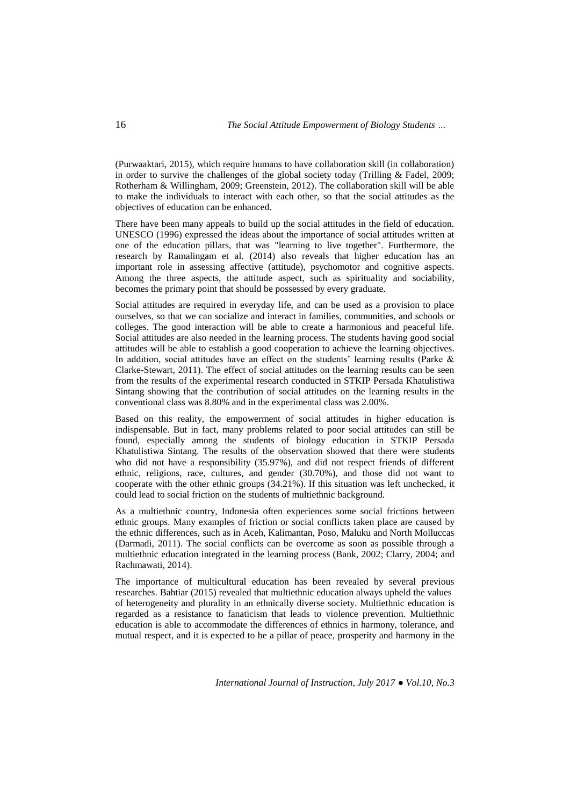(Purwaaktari, 2015), which require humans to have collaboration skill (in collaboration) in order to survive the challenges of the global society today (Trilling & Fadel, 2009; Rotherham & Willingham, 2009; Greenstein, 2012). The collaboration skill will be able to make the individuals to interact with each other, so that the social attitudes as the objectives of education can be enhanced.

There have been many appeals to build up the social attitudes in the field of education. UNESCO (1996) expressed the ideas about the importance of social attitudes written at one of the education pillars, that was "learning to live together". Furthermore, the research by Ramalingam et al. (2014) also reveals that higher education has an important role in assessing affective (attitude), psychomotor and cognitive aspects. Among the three aspects, the attitude aspect, such as spirituality and sociability, becomes the primary point that should be possessed by every graduate.

Social attitudes are required in everyday life, and can be used as a provision to place ourselves, so that we can socialize and interact in families, communities, and schools or colleges. The good interaction will be able to create a harmonious and peaceful life. Social attitudes are also needed in the learning process. The students having good social attitudes will be able to establish a good cooperation to achieve the learning objectives. In addition, social attitudes have an effect on the students' learning results (Parke  $\&$ Clarke-Stewart, 2011). The effect of social attitudes on the learning results can be seen from the results of the experimental research conducted in STKIP Persada Khatulistiwa Sintang showing that the contribution of social attitudes on the learning results in the conventional class was 8.80% and in the experimental class was 2.00%.

Based on this reality, the empowerment of social attitudes in higher education is indispensable. But in fact, many problems related to poor social attitudes can still be found, especially among the students of biology education in STKIP Persada Khatulistiwa Sintang. The results of the observation showed that there were students who did not have a responsibility (35.97%), and did not respect friends of different ethnic, religions, race, cultures, and gender (30.70%), and those did not want to cooperate with the other ethnic groups (34.21%). If this situation was left unchecked, it could lead to social friction on the students of multiethnic background.

As a multiethnic country, Indonesia often experiences some social frictions between ethnic groups. Many examples of friction or social conflicts taken place are caused by the ethnic differences, such as in Aceh, Kalimantan, Poso, Maluku and North Molluccas (Darmadi, 2011). The social conflicts can be overcome as soon as possible through a multiethnic education integrated in the learning process (Bank, 2002; Clarry, 2004; and Rachmawati, 2014).

The importance of multicultural education has been revealed by several previous researches. Bahtiar (2015) revealed that multiethnic education always upheld the values of heterogeneity and plurality in an ethnically diverse society. Multiethnic education is regarded as a resistance to fanaticism that leads to violence prevention. Multiethnic education is able to accommodate the differences of ethnics in harmony, tolerance, and mutual respect, and it is expected to be a pillar of peace, prosperity and harmony in the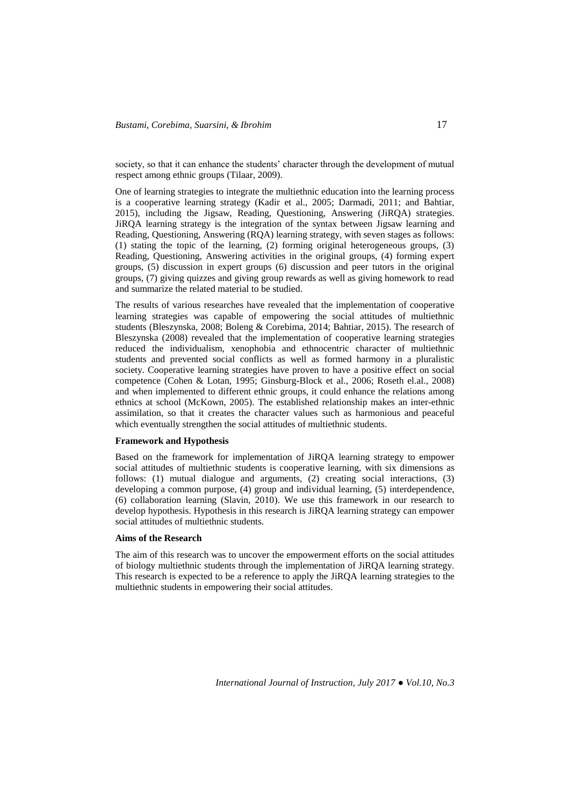society, so that it can enhance the students' character through the development of mutual respect among ethnic groups (Tilaar, 2009).

One of learning strategies to integrate the multiethnic education into the learning process is a cooperative learning strategy (Kadir et al., 2005; Darmadi, 2011; and Bahtiar, 2015), including the Jigsaw, Reading, Questioning, Answering (JiRQA) strategies. JiRQA learning strategy is the integration of the syntax between Jigsaw learning and Reading, Questioning, Answering (RQA) learning strategy, with seven stages as follows: (1) stating the topic of the learning, (2) forming original heterogeneous groups, (3) Reading, Questioning, Answering activities in the original groups, (4) forming expert groups, (5) discussion in expert groups (6) discussion and peer tutors in the original groups, (7) giving quizzes and giving group rewards as well as giving homework to read and summarize the related material to be studied.

The results of various researches have revealed that the implementation of cooperative learning strategies was capable of empowering the social attitudes of multiethnic students (Bleszynska, 2008; Boleng & Corebima, 2014; Bahtiar, 2015). The research of Bleszynska (2008) revealed that the implementation of cooperative learning strategies reduced the individualism, xenophobia and ethnocentric character of multiethnic students and prevented social conflicts as well as formed harmony in a pluralistic society. Cooperative learning strategies have proven to have a positive effect on social competence (Cohen & Lotan, 1995; Ginsburg-Block et al., 2006; Roseth el.al., 2008) and when implemented to different ethnic groups, it could enhance the relations among ethnics at school (McKown, 2005). The established relationship makes an inter-ethnic assimilation, so that it creates the character values such as harmonious and peaceful which eventually strengthen the social attitudes of multiethnic students.

## **Framework and Hypothesis**

Based on the framework for implementation of JiRQA learning strategy to empower social attitudes of multiethnic students is cooperative learning, with six dimensions as follows: (1) mutual dialogue and arguments, (2) creating social interactions, (3) developing a common purpose, (4) group and individual learning, (5) interdependence, (6) collaboration learning (Slavin, 2010). We use this framework in our research to develop hypothesis. Hypothesis in this research is JiRQA learning strategy can empower social attitudes of multiethnic students.

# **Aims of the Research**

The aim of this research was to uncover the empowerment efforts on the social attitudes of biology multiethnic students through the implementation of JiRQA learning strategy. This research is expected to be a reference to apply the JiRQA learning strategies to the multiethnic students in empowering their social attitudes.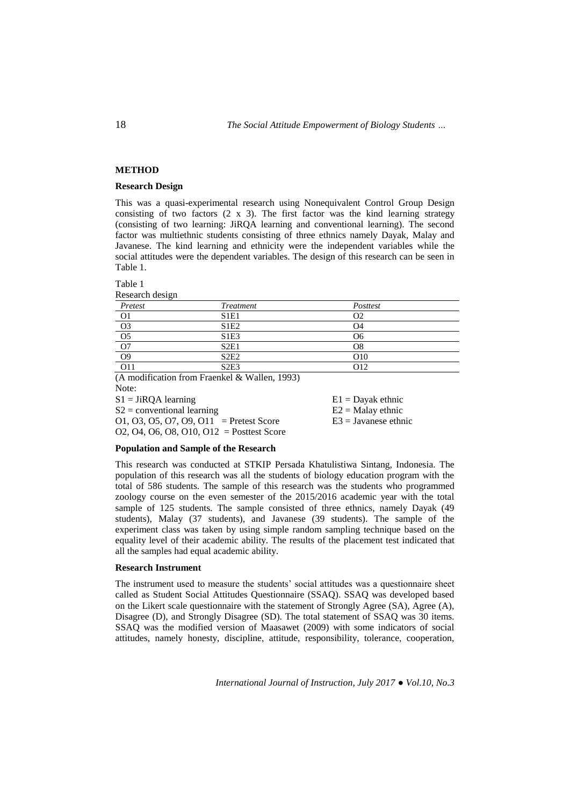## **METHOD**

# **Research Design**

This was a quasi-experimental research using Nonequivalent Control Group Design consisting of two factors  $(2 \times 3)$ . The first factor was the kind learning strategy (consisting of two learning: JiRQA learning and conventional learning). The second factor was multiethnic students consisting of three ethnics namely Dayak, Malay and Javanese. The kind learning and ethnicity were the independent variables while the social attitudes were the dependent variables. The design of this research can be seen in Table 1.

## Table 1

| <u>.</u>       |                               |                 |  |
|----------------|-------------------------------|-----------------|--|
| Pretest        | Treatment                     | Posttest        |  |
|                | S1E1                          | O2              |  |
| O <sub>3</sub> | S1E2                          | O4              |  |
| O5             | S1E3                          | Ο6              |  |
|                | S2E1                          | O8              |  |
| О9             | S <sub>2</sub> E <sub>2</sub> | O <sub>10</sub> |  |
|                | S2E3                          | $\Omega$ 12     |  |

(A modification from Fraenkel & Wallen, 1993) Note:  $S1 = JiRQA$  learning  $E1 = Dayak$  ethnic  $S2 =$  conventional learning E2 = Malay ethnic  $01, 03, 05, 07, 09, 011$  = Pretest Score E3 = Javanese ethnic

#### **Population and Sample of the Research**

O2, O4, O6, O8, O10, O12 = Posttest Score

This research was conducted at STKIP Persada Khatulistiwa Sintang, Indonesia. The population of this research was all the students of biology education program with the total of 586 students. The sample of this research was the students who programmed zoology course on the even semester of the 2015/2016 academic year with the total sample of 125 students. The sample consisted of three ethnics, namely Dayak (49 students), Malay (37 students), and Javanese (39 students). The sample of the experiment class was taken by using simple random sampling technique based on the equality level of their academic ability. The results of the placement test indicated that all the samples had equal academic ability.

#### **Research Instrument**

The instrument used to measure the students' social attitudes was a questionnaire sheet called as Student Social Attitudes Questionnaire (SSAQ). SSAQ was developed based on the Likert scale questionnaire with the statement of Strongly Agree (SA), Agree (A), Disagree (D), and Strongly Disagree (SD). The total statement of SSAQ was 30 items. SSAQ was the modified version of Maasawet (2009) with some indicators of social attitudes, namely honesty, discipline, attitude, responsibility, tolerance, cooperation,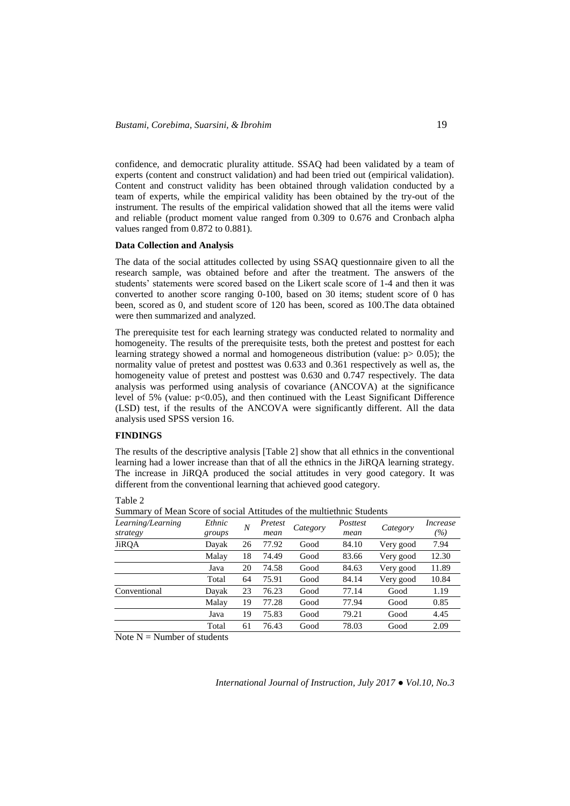confidence, and democratic plurality attitude. SSAQ had been validated by a team of experts (content and construct validation) and had been tried out (empirical validation). Content and construct validity has been obtained through validation conducted by a team of experts, while the empirical validity has been obtained by the try-out of the instrument. The results of the empirical validation showed that all the items were valid and reliable (product moment value ranged from 0.309 to 0.676 and Cronbach alpha values ranged from 0.872 to 0.881).

### **Data Collection and Analysis**

The data of the social attitudes collected by using SSAQ questionnaire given to all the research sample, was obtained before and after the treatment. The answers of the students' statements were scored based on the Likert scale score of 1-4 and then it was converted to another score ranging 0-100, based on 30 items; student score of 0 has been, scored as 0, and student score of 120 has been, scored as 100.The data obtained were then summarized and analyzed.

The prerequisite test for each learning strategy was conducted related to normality and homogeneity. The results of the prerequisite tests, both the pretest and posttest for each learning strategy showed a normal and homogeneous distribution (value:  $p > 0.05$ ); the normality value of pretest and posttest was 0.633 and 0.361 respectively as well as, the homogeneity value of pretest and posttest was 0.630 and 0.747 respectively. The data analysis was performed using analysis of covariance (ANCOVA) at the significance level of 5% (value:  $p<0.05$ ), and then continued with the Least Significant Difference (LSD) test, if the results of the ANCOVA were significantly different. All the data analysis used SPSS version 16.

# **FINDINGS**

The results of the descriptive analysis [Table 2] show that all ethnics in the conventional learning had a lower increase than that of all the ethnics in the JiRQA learning strategy. The increase in JiRQA produced the social attitudes in very good category. It was different from the conventional learning that achieved good category.

| Learning/Learning<br>strategy | Ethnic<br>groups | N  | Pretest<br>mean | Category | Posttest<br>mean | Category  | <i>Increase</i><br>(%) |
|-------------------------------|------------------|----|-----------------|----------|------------------|-----------|------------------------|
| JiRQA                         | Dayak            | 26 | 77.92           | Good     | 84.10            | Very good | 7.94                   |
|                               | Malay            | 18 | 74.49           | Good     | 83.66            | Very good | 12.30                  |
|                               | Java             | 20 | 74.58           | Good     | 84.63            | Very good | 11.89                  |
|                               | Total            | 64 | 75.91           | Good     | 84.14            | Very good | 10.84                  |
| Conventional                  | Dayak            | 23 | 76.23           | Good     | 77.14            | Good      | 1.19                   |
|                               | Malay            | 19 | 77.28           | Good     | 77.94            | Good      | 0.85                   |
|                               | Java             | 19 | 75.83           | Good     | 79.21            | Good      | 4.45                   |
|                               | Total            | 61 | 76.43           | Good     | 78.03            | Good      | 2.09                   |

Table 2

Summary of Mean Score of social Attitudes of the multiethnic Students

Note  $N =$  Number of students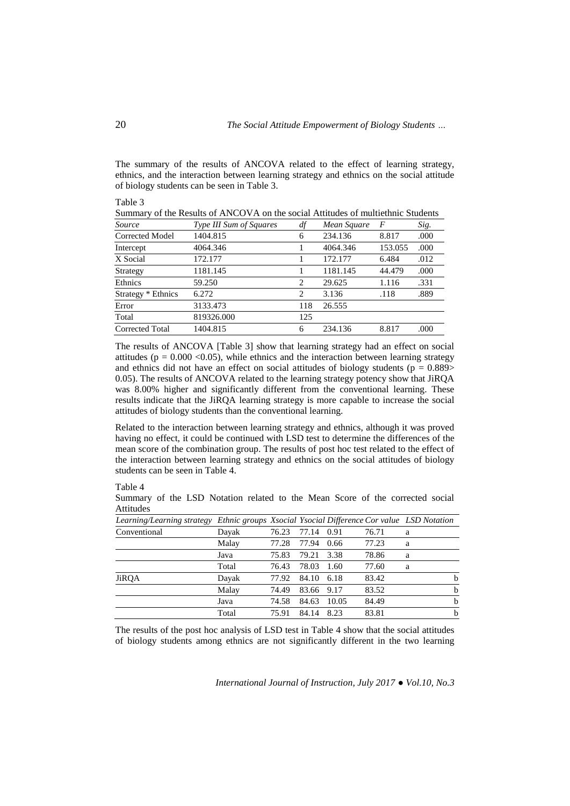The summary of the results of ANCOVA related to the effect of learning strategy, ethnics, and the interaction between learning strategy and ethnics on the social attitude of biology students can be seen in Table 3.

| Summary of the Results of ANCOVA on the social Attitudes of multiethnic Students |                         |     |             |         |      |
|----------------------------------------------------------------------------------|-------------------------|-----|-------------|---------|------|
| Source                                                                           | Type III Sum of Squares | df  | Mean Square | F       | Sig. |
| <b>Corrected Model</b>                                                           | 1404.815                | 6   | 234.136     | 8.817   | .000 |
| Intercept                                                                        | 4064.346                |     | 4064.346    | 153.055 | .000 |
| X Social                                                                         | 172.177                 |     | 172.177     | 6.484   | .012 |
| Strategy                                                                         | 1181.145                |     | 1181.145    | 44.479  | .000 |
| Ethnics                                                                          | 59.250                  | 2   | 29.625      | 1.116   | .331 |
| Strategy * Ethnics                                                               | 6.272                   | 2   | 3.136       | .118    | .889 |
| Error                                                                            | 3133.473                | 118 | 26.555      |         |      |
| Total                                                                            | 819326.000              | 125 |             |         |      |
| Corrected Total                                                                  | 1404.815                | 6   | 234.136     | 8.817   | .000 |

The results of ANCOVA [Table 3] show that learning strategy had an effect on social attitudes ( $p = 0.000 \le 0.05$ ), while ethnics and the interaction between learning strategy and ethnics did not have an effect on social attitudes of biology students ( $p = 0.889$ ) 0.05). The results of ANCOVA related to the learning strategy potency show that JiRQA was 8.00% higher and significantly different from the conventional learning. These results indicate that the JiRQA learning strategy is more capable to increase the social attitudes of biology students than the conventional learning.

Related to the interaction between learning strategy and ethnics, although it was proved having no effect, it could be continued with LSD test to determine the differences of the mean score of the combination group. The results of post hoc test related to the effect of the interaction between learning strategy and ethnics on the social attitudes of biology students can be seen in Table 4.

Table 4

Summary of the LSD Notation related to the Mean Score of the corrected social **Attitudes** 

| Learning/Learning strategy Ethnic groups Xsocial Ysocial Difference Cor value LSD Notation |       |       |            |       |       |   |
|--------------------------------------------------------------------------------------------|-------|-------|------------|-------|-------|---|
| Conventional                                                                               | Dayak | 76.23 | 77.14 0.91 |       | 76.71 | a |
|                                                                                            | Malay | 77.28 | 77.94      | 0.66  | 77.23 | a |
|                                                                                            | Java  | 75.83 | 79.21      | 3.38  | 78.86 | a |
|                                                                                            | Total | 76.43 | 78.03      | 1.60  | 77.60 | a |
| JiRQA                                                                                      | Dayak | 77.92 | 84.10      | 6.18  | 83.42 | h |
|                                                                                            | Malay | 74.49 | 83.66      | 9.17  | 83.52 | b |
|                                                                                            | Java  | 74.58 | 84.63      | 10.05 | 84.49 | b |
|                                                                                            | Total | 75.91 | 84.14      | 8.23  | 83.81 | b |

The results of the post hoc analysis of LSD test in Table 4 show that the social attitudes of biology students among ethnics are not significantly different in the two learning

*International Journal of Instruction, July 2017 ● Vol.10, No.3*

Table 3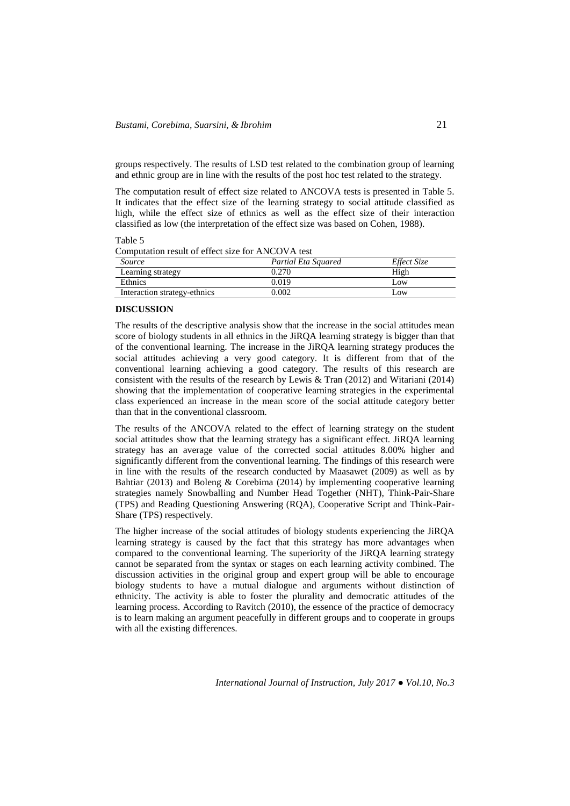groups respectively. The results of LSD test related to the combination group of learning and ethnic group are in line with the results of the post hoc test related to the strategy.

The computation result of effect size related to ANCOVA tests is presented in Table 5. It indicates that the effect size of the learning strategy to social attitude classified as high, while the effect size of ethnics as well as the effect size of their interaction classified as low (the interpretation of the effect size was based on Cohen, 1988).

Table 5

Computation result of effect size for ANCOVA test

| Source                       | Partial Eta Squared | Effect Size |
|------------------------------|---------------------|-------------|
| Learning strategy            | 0.270               | High        |
| Ethnics                      | 0.019               | Low         |
| Interaction strategy-ethnics | 0.002               | Low         |
|                              |                     |             |

# **DISCUSSION**

The results of the descriptive analysis show that the increase in the social attitudes mean score of biology students in all ethnics in the JiRQA learning strategy is bigger than that of the conventional learning. The increase in the JiRQA learning strategy produces the social attitudes achieving a very good category. It is different from that of the conventional learning achieving a good category. The results of this research are consistent with the results of the research by Lewis & Tran  $(2012)$  and Witariani  $(2014)$ showing that the implementation of cooperative learning strategies in the experimental class experienced an increase in the mean score of the social attitude category better than that in the conventional classroom.

The results of the ANCOVA related to the effect of learning strategy on the student social attitudes show that the learning strategy has a significant effect. JiRQA learning strategy has an average value of the corrected social attitudes 8.00% higher and significantly different from the conventional learning. The findings of this research were in line with the results of the research conducted by Maasawet (2009) as well as by Bahtiar (2013) and Boleng & Corebima (2014) by implementing cooperative learning strategies namely Snowballing and Number Head Together (NHT), Think-Pair-Share (TPS) and Reading Questioning Answering (RQA), Cooperative Script and Think-Pair-Share (TPS) respectively.

The higher increase of the social attitudes of biology students experiencing the JiRQA learning strategy is caused by the fact that this strategy has more advantages when compared to the conventional learning. The superiority of the JiRQA learning strategy cannot be separated from the syntax or stages on each learning activity combined. The discussion activities in the original group and expert group will be able to encourage biology students to have a mutual dialogue and arguments without distinction of ethnicity. The activity is able to foster the plurality and democratic attitudes of the learning process. According to Ravitch (2010), the essence of the practice of democracy is to learn making an argument peacefully in different groups and to cooperate in groups with all the existing differences.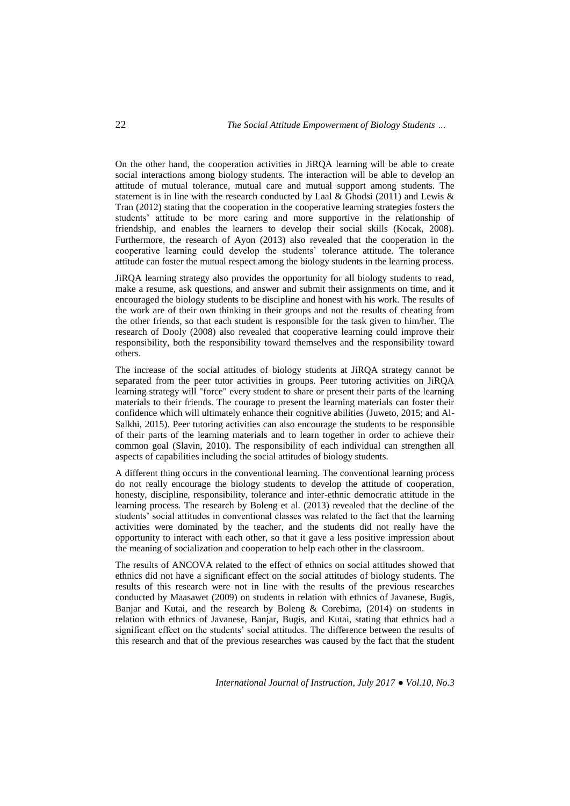On the other hand, the cooperation activities in JiRQA learning will be able to create social interactions among biology students. The interaction will be able to develop an attitude of mutual tolerance, mutual care and mutual support among students. The statement is in line with the research conducted by Laal & Ghodsi (2011) and Lewis  $\&$ Tran (2012) stating that the cooperation in the cooperative learning strategies fosters the students' attitude to be more caring and more supportive in the relationship of friendship, and enables the learners to develop their social skills (Kocak, 2008). Furthermore, the research of Ayon (2013) also revealed that the cooperation in the cooperative learning could develop the students' tolerance attitude. The tolerance attitude can foster the mutual respect among the biology students in the learning process.

JiRQA learning strategy also provides the opportunity for all biology students to read, make a resume, ask questions, and answer and submit their assignments on time, and it encouraged the biology students to be discipline and honest with his work. The results of the work are of their own thinking in their groups and not the results of cheating from the other friends, so that each student is responsible for the task given to him/her. The research of Dooly (2008) also revealed that cooperative learning could improve their responsibility, both the responsibility toward themselves and the responsibility toward others.

The increase of the social attitudes of biology students at JiRQA strategy cannot be separated from the peer tutor activities in groups. Peer tutoring activities on JiRQA learning strategy will "force" every student to share or present their parts of the learning materials to their friends. The courage to present the learning materials can foster their confidence which will ultimately enhance their cognitive abilities (Juweto, 2015; and Al-Salkhi, 2015). Peer tutoring activities can also encourage the students to be responsible of their parts of the learning materials and to learn together in order to achieve their common goal (Slavin, 2010). The responsibility of each individual can strengthen all aspects of capabilities including the social attitudes of biology students.

A different thing occurs in the conventional learning. The conventional learning process do not really encourage the biology students to develop the attitude of cooperation, honesty, discipline, responsibility, tolerance and inter-ethnic democratic attitude in the learning process. The research by Boleng et al. (2013) revealed that the decline of the students' social attitudes in conventional classes was related to the fact that the learning activities were dominated by the teacher, and the students did not really have the opportunity to interact with each other, so that it gave a less positive impression about the meaning of socialization and cooperation to help each other in the classroom.

The results of ANCOVA related to the effect of ethnics on social attitudes showed that ethnics did not have a significant effect on the social attitudes of biology students. The results of this research were not in line with the results of the previous researches conducted by Maasawet (2009) on students in relation with ethnics of Javanese, Bugis, Banjar and Kutai, and the research by Boleng & Corebima, (2014) on students in relation with ethnics of Javanese, Banjar, Bugis, and Kutai, stating that ethnics had a significant effect on the students' social attitudes. The difference between the results of this research and that of the previous researches was caused by the fact that the student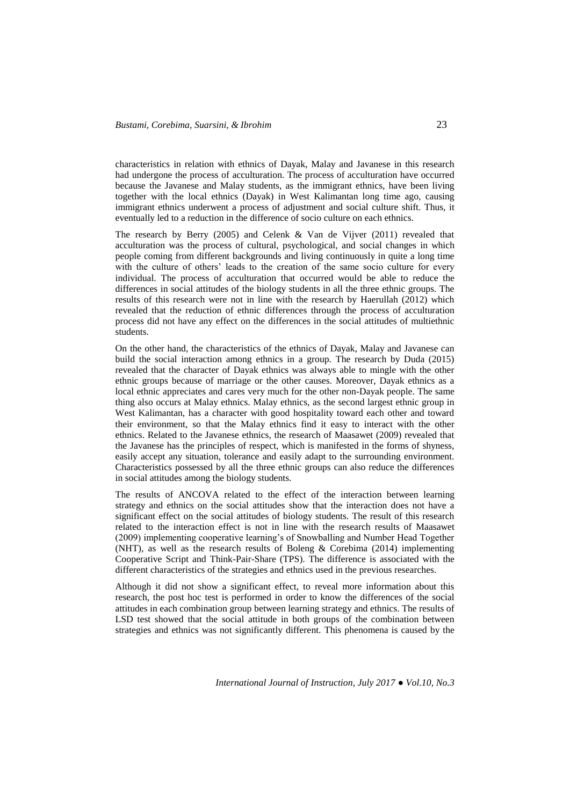characteristics in relation with ethnics of Dayak, Malay and Javanese in this research had undergone the process of acculturation. The process of acculturation have occurred because the Javanese and Malay students, as the immigrant ethnics, have been living together with the local ethnics (Dayak) in West Kalimantan long time ago, causing immigrant ethnics underwent a process of adjustment and social culture shift. Thus, it eventually led to a reduction in the difference of socio culture on each ethnics.

The research by Berry (2005) and Celenk & Van de Vijver (2011) revealed that acculturation was the process of cultural, psychological, and social changes in which people coming from different backgrounds and living continuously in quite a long time with the culture of others' leads to the creation of the same socio culture for every individual. The process of acculturation that occurred would be able to reduce the differences in social attitudes of the biology students in all the three ethnic groups. The results of this research were not in line with the research by Haerullah (2012) which revealed that the reduction of ethnic differences through the process of acculturation process did not have any effect on the differences in the social attitudes of multiethnic students.

On the other hand, the characteristics of the ethnics of Dayak, Malay and Javanese can build the social interaction among ethnics in a group. The research by Duda (2015) revealed that the character of Dayak ethnics was always able to mingle with the other ethnic groups because of marriage or the other causes. Moreover, Dayak ethnics as a local ethnic appreciates and cares very much for the other non-Dayak people. The same thing also occurs at Malay ethnics. Malay ethnics, as the second largest ethnic group in West Kalimantan, has a character with good hospitality toward each other and toward their environment, so that the Malay ethnics find it easy to interact with the other ethnics. Related to the Javanese ethnics, the research of Maasawet (2009) revealed that the Javanese has the principles of respect, which is manifested in the forms of shyness, easily accept any situation, tolerance and easily adapt to the surrounding environment. Characteristics possessed by all the three ethnic groups can also reduce the differences in social attitudes among the biology students.

The results of ANCOVA related to the effect of the interaction between learning strategy and ethnics on the social attitudes show that the interaction does not have a significant effect on the social attitudes of biology students. The result of this research related to the interaction effect is not in line with the research results of Maasawet (2009) implementing cooperative learning's of Snowballing and Number Head Together (NHT), as well as the research results of Boleng & Corebima (2014) implementing Cooperative Script and Think-Pair-Share (TPS). The difference is associated with the different characteristics of the strategies and ethnics used in the previous researches.

Although it did not show a significant effect, to reveal more information about this research, the post hoc test is performed in order to know the differences of the social attitudes in each combination group between learning strategy and ethnics. The results of LSD test showed that the social attitude in both groups of the combination between strategies and ethnics was not significantly different. This phenomena is caused by the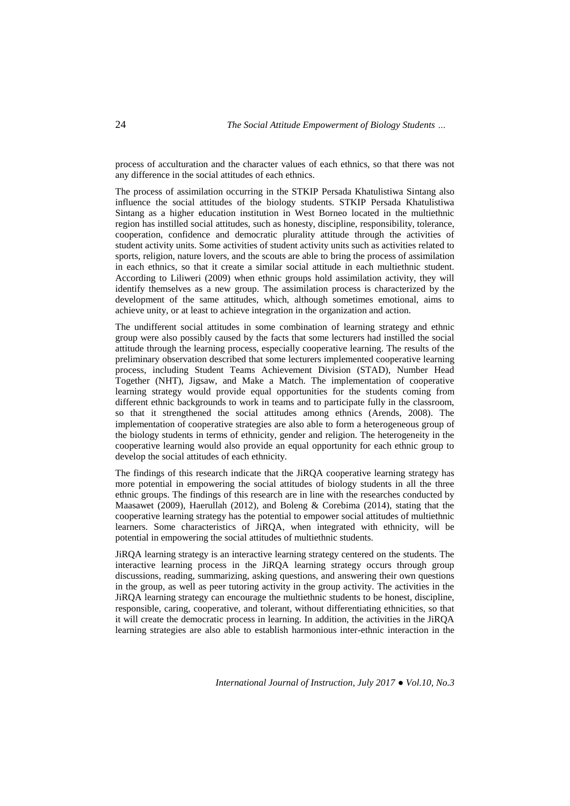process of acculturation and the character values of each ethnics, so that there was not any difference in the social attitudes of each ethnics.

The process of assimilation occurring in the STKIP Persada Khatulistiwa Sintang also influence the social attitudes of the biology students. STKIP Persada Khatulistiwa Sintang as a higher education institution in West Borneo located in the multiethnic region has instilled social attitudes, such as honesty, discipline, responsibility, tolerance, cooperation, confidence and democratic plurality attitude through the activities of student activity units. Some activities of student activity units such as activities related to sports, religion, nature lovers, and the scouts are able to bring the process of assimilation in each ethnics, so that it create a similar social attitude in each multiethnic student. According to Liliweri (2009) when ethnic groups hold assimilation activity, they will identify themselves as a new group. The assimilation process is characterized by the development of the same attitudes, which, although sometimes emotional, aims to achieve unity, or at least to achieve integration in the organization and action.

The undifferent social attitudes in some combination of learning strategy and ethnic group were also possibly caused by the facts that some lecturers had instilled the social attitude through the learning process, especially cooperative learning. The results of the preliminary observation described that some lecturers implemented cooperative learning process, including Student Teams Achievement Division (STAD), Number Head Together (NHT), Jigsaw, and Make a Match. The implementation of cooperative learning strategy would provide equal opportunities for the students coming from different ethnic backgrounds to work in teams and to participate fully in the classroom, so that it strengthened the social attitudes among ethnics (Arends, 2008). The implementation of cooperative strategies are also able to form a heterogeneous group of the biology students in terms of ethnicity, gender and religion. The heterogeneity in the cooperative learning would also provide an equal opportunity for each ethnic group to develop the social attitudes of each ethnicity.

The findings of this research indicate that the JiRQA cooperative learning strategy has more potential in empowering the social attitudes of biology students in all the three ethnic groups. The findings of this research are in line with the researches conducted by Maasawet (2009), Haerullah (2012), and Boleng & Corebima (2014), stating that the cooperative learning strategy has the potential to empower social attitudes of multiethnic learners. Some characteristics of JiRQA, when integrated with ethnicity, will be potential in empowering the social attitudes of multiethnic students.

JiRQA learning strategy is an interactive learning strategy centered on the students. The interactive learning process in the JiRQA learning strategy occurs through group discussions, reading, summarizing, asking questions, and answering their own questions in the group, as well as peer tutoring activity in the group activity. The activities in the JiRQA learning strategy can encourage the multiethnic students to be honest, discipline, responsible, caring, cooperative, and tolerant, without differentiating ethnicities, so that it will create the democratic process in learning. In addition, the activities in the JiRQA learning strategies are also able to establish harmonious inter-ethnic interaction in the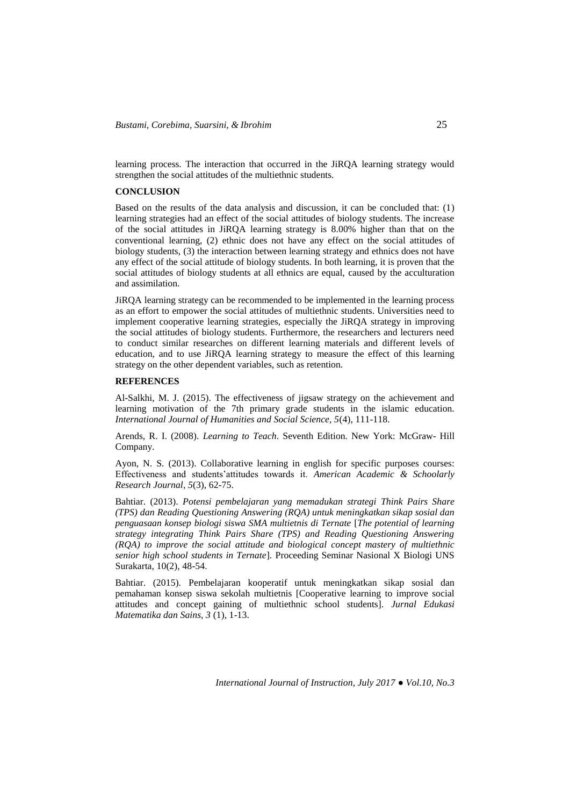learning process. The interaction that occurred in the JiRQA learning strategy would strengthen the social attitudes of the multiethnic students.

# **CONCLUSION**

Based on the results of the data analysis and discussion, it can be concluded that: (1) learning strategies had an effect of the social attitudes of biology students. The increase of the social attitudes in JiRQA learning strategy is 8.00% higher than that on the conventional learning, (2) ethnic does not have any effect on the social attitudes of biology students, (3) the interaction between learning strategy and ethnics does not have any effect of the social attitude of biology students. In both learning, it is proven that the social attitudes of biology students at all ethnics are equal, caused by the acculturation and assimilation.

JiRQA learning strategy can be recommended to be implemented in the learning process as an effort to empower the social attitudes of multiethnic students. Universities need to implement cooperative learning strategies, especially the JiRQA strategy in improving the social attitudes of biology students. Furthermore, the researchers and lecturers need to conduct similar researches on different learning materials and different levels of education, and to use JiRQA learning strategy to measure the effect of this learning strategy on the other dependent variables, such as retention.

# **REFERENCES**

Al-Salkhi, M. J. (2015). The effectiveness of jigsaw strategy on the achievement and learning motivation of the 7th primary grade students in the islamic education. *International Journal of Humanities and Social Science, 5*(4), 111-118.

Arends, R. I. (2008). *Learning to Teach*. Seventh Edition. New York: McGraw- Hill Company.

Ayon, N. S. (2013). Collaborative learning in english for specific purposes courses: Effectiveness and students'attitudes towards it. *American Academic & Schoolarly Research Journal, 5*(3), 62-75.

Bahtiar. (2013). *Potensi pembelajaran yang memadukan strategi Think Pairs Share (TPS) dan Reading Questioning Answering (RQA) untuk meningkatkan sikap sosial dan penguasaan konsep biologi siswa SMA multietnis di Ternate* [*The potential of learning strategy integrating Think Pairs Share (TPS) and Reading Questioning Answering (RQA) to improve the social attitude and biological concept mastery of multiethnic senior high school students in Ternate*]*.* Proceeding Seminar Nasional X Biologi UNS Surakarta, 10(2), 48-54.

Bahtiar. (2015). Pembelajaran kooperatif untuk meningkatkan sikap sosial dan pemahaman konsep siswa sekolah multietnis [Cooperative learning to improve social attitudes and concept gaining of multiethnic school students]. *Jurnal Edukasi Matematika dan Sains, 3* (1), 1-13.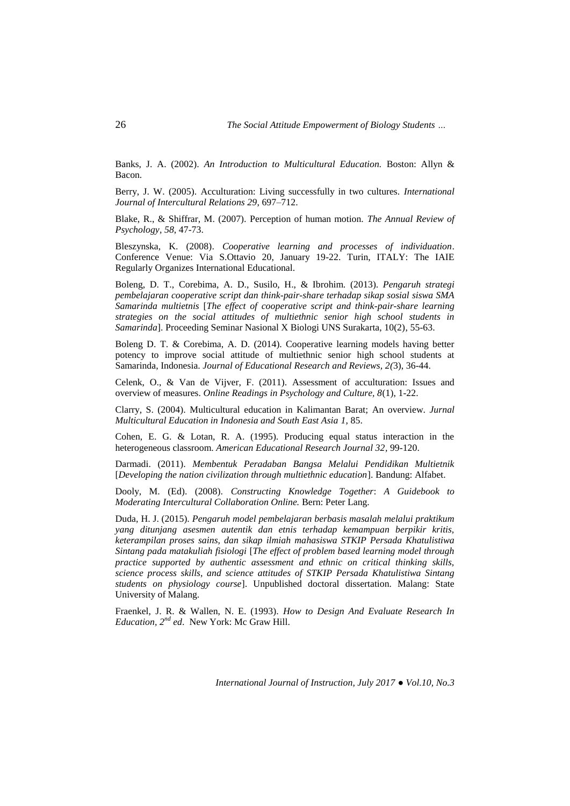Banks, J. A. (2002). *An Introduction to Multicultural Education.* Boston: Allyn & Bacon.

Berry, J. W. (2005). Acculturation: Living successfully in two cultures. *International Journal of Intercultural Relations 29*, 697–712.

Blake, R., & Shiffrar, M. (2007). Perception of human motion. *The Annual Review of Psychology, 58*, 47-73.

Bleszynska, K. (2008). *Cooperative learning and processes of individuation*. Conference Venue: Via S.Ottavio 20, January 19-22. Turin, ITALY: The IAIE Regularly Organizes International Educational.

Boleng, D. T., Corebima, A. D., Susilo, H., & Ibrohim. (2013). *Pengaruh strategi pembelajaran cooperative script dan think-pair-share terhadap sikap sosial siswa SMA Samarinda multietnis* [*The effect of cooperative script and think-pair-share learning strategies on the social attitudes of multiethnic senior high school students in Samarinda*]. Proceeding Seminar Nasional X Biologi UNS Surakarta, 10(2), 55-63.

Boleng D. T. & Corebima, A. D. (2014). Cooperative learning models having better potency to improve social attitude of multiethnic senior high school students at Samarinda, Indonesia. *Journal of Educational Research and Reviews, 2(*3), 36-44.

Celenk, O., & Van de Vijver, F. (2011). Assessment of acculturation: Issues and overview of measures. *Online Readings in Psychology and Culture, 8*(1), 1-22.

Clarry, S. (2004). Multicultural education in Kalimantan Barat; An overview. *Jurnal Multicultural Education in Indonesia and South East Asia 1*, 85.

Cohen, E. G. & Lotan, R. A. (1995). Producing equal status interaction in the heterogeneous classroom. *American Educational Research Journal 32,* 99-120.

Darmadi. (2011). *Membentuk Peradaban Bangsa Melalui Pendidikan Multietnik*  [*Developing the nation civilization through multiethnic education*]. Bandung: Alfabet.

Dooly, M. (Ed). (2008). *Constructing Knowledge Together*: *A Guidebook to Moderating Intercultural Collaboration Online.* Bern: Peter Lang.

Duda, H. J. (2015). *Pengaruh model pembelajaran berbasis masalah melalui praktikum yang ditunjang asesmen autentik dan etnis terhadap kemampuan berpikir kritis, keterampilan proses sains, dan sikap ilmiah mahasiswa STKIP Persada Khatulistiwa Sintang pada matakuliah fisiologi* [*The effect of problem based learning model through practice supported by authentic assessment and ethnic on critical thinking skills, science process skills, and science attitudes of STKIP Persada Khatulistiwa Sintang students on physiology course*]. Unpublished doctoral dissertation. Malang: State University of Malang.

Fraenkel, J. R. & Wallen, N. E. (1993). *How to Design And Evaluate Research In Education, 2nd ed*. New York: Mc Graw Hill.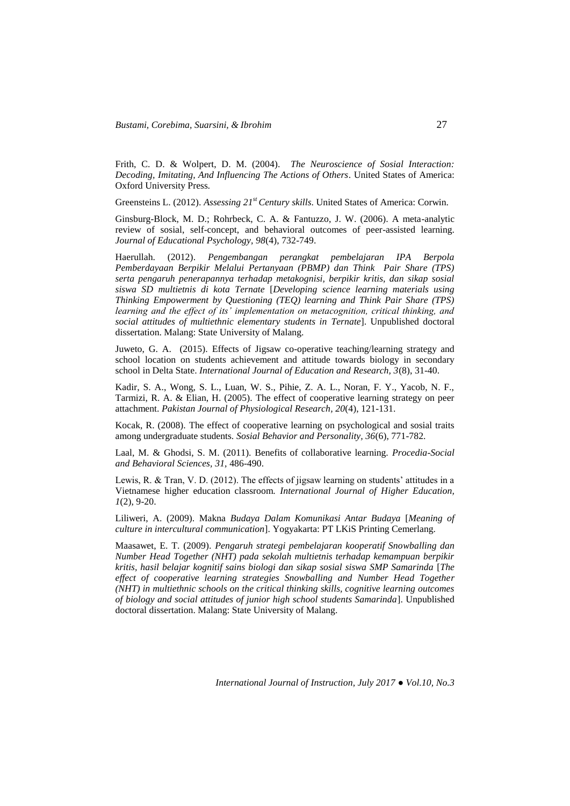Frith, C. D. & Wolpert, D. M. (2004). *The Neuroscience of Sosial Interaction: Decoding, Imitating, And Influencing The Actions of Others*. United States of America: Oxford University Press*.*

Greensteins L. (2012). *Assessing 21st Century skills*. United States of America: Corwin.

Ginsburg-Block, M. D.; Rohrbeck, C. A. & Fantuzzo, J. W. (2006). A meta-analytic review of sosial, self-concept, and behavioral outcomes of peer-assisted learning. *Journal of Educational Psychology, 98*(4), 732-749.

Haerullah. (2012). *Pengembangan perangkat pembelajaran IPA Berpola Pemberdayaan Berpikir Melalui Pertanyaan (PBMP) dan Think Pair Share (TPS) serta pengaruh penerapannya terhadap metakognisi, berpikir kritis, dan sikap sosial siswa SD multietnis di kota Ternate* [*Developing science learning materials using Thinking Empowerment by Questioning (TEQ) learning and Think Pair Share (TPS) learning and the effect of its' implementation on metacognition, critical thinking, and social attitudes of multiethnic elementary students in Ternate*]. Unpublished doctoral dissertation. Malang: State University of Malang.

Juweto, G. A. (2015). Effects of Jigsaw co-operative teaching/learning strategy and school location on students achievement and attitude towards biology in secondary school in Delta State. *International Journal of Education and Research, 3*(8), 31-40.

Kadir, S. A., Wong, S. L., Luan, W. S., Pihie, Z. A. L., Noran, F. Y., Yacob, N. F., Tarmizi, R. A. & Elian, H. (2005). The effect of cooperative learning strategy on peer attachment. *Pakistan Journal of Physiological Research, 20*(4), 121-131.

Kocak, R. (2008). The effect of cooperative learning on psychological and sosial traits among undergraduate students. *Sosial Behavior and Personality, 36*(6), 771-782.

Laal, M. & Ghodsi, S. M. (2011). Benefits of collaborative learning. *Procedia-Social and Behavioral Sciences, 31,* 486-490.

Lewis, R. & Tran, V. D. (2012). The effects of jigsaw learning on students' attitudes in a Vietnamese higher education classroom. *International Journal of Higher Education, 1*(2), 9-20.

Liliweri, A. (2009). Makna *Budaya Dalam Komunikasi Antar Budaya* [*Meaning of culture in intercultural communication*]. Yogyakarta: PT LKiS Printing Cemerlang.

Maasawet, E. T. (2009). *Pengaruh strategi pembelajaran kooperatif Snowballing dan Number Head Together (NHT) pada sekolah multietnis terhadap kemampuan berpikir kritis, hasil belajar kognitif sains biologi dan sikap sosial siswa SMP Samarinda* [*The effect of cooperative learning strategies Snowballing and Number Head Together (NHT) in multiethnic schools on the critical thinking skills, cognitive learning outcomes of biology and social attitudes of junior high school students Samarinda*]. Unpublished doctoral dissertation. Malang: State University of Malang.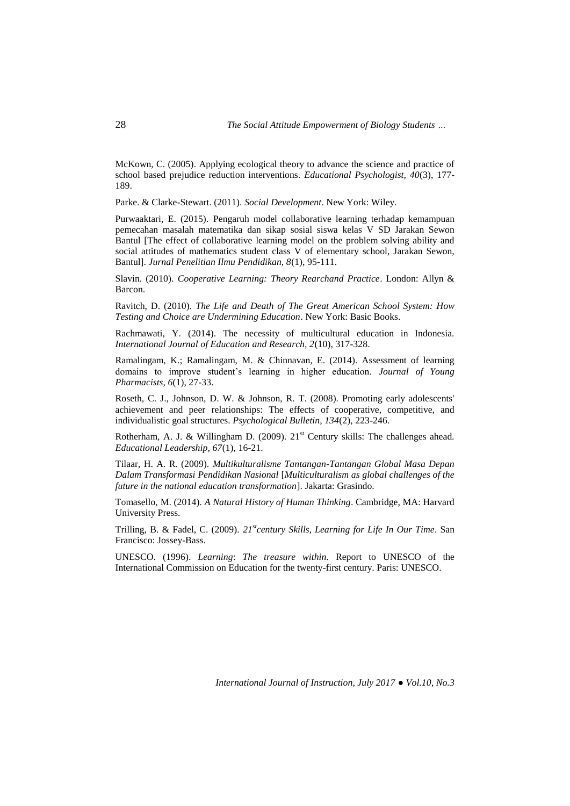McKown, C. (2005). Applying ecological theory to advance the science and practice of school based prejudice reduction interventions. *Educational Psychologist, 40*(3), 177- 189.

Parke. & Clarke-Stewart. (2011). *Social Development*. New York: Wiley.

Purwaaktari, E. (2015). Pengaruh model collaborative learning terhadap kemampuan pemecahan masalah matematika dan sikap sosial siswa kelas V SD Jarakan Sewon Bantul [The effect of collaborative learning model on the problem solving ability and social attitudes of mathematics student class V of elementary school, Jarakan Sewon, Bantul]. *Jurnal Penelitian Ilmu Pendidikan, 8*(1), 95-111.

Slavin. (2010). *Cooperative Learning: Theory Rearchand Practice*. London: Allyn & Barcon.

Ravitch, D. (2010). *The Life and Death of The Great American School System: How Testing and Choice are Undermining Education*. New York: Basic Books.

Rachmawati, Y. (2014). The necessity of multicultural education in Indonesia. *International Journal of Education and Research, 2*(10), 317-328.

Ramalingam, K.; Ramalingam, M. & Chinnavan, E. (2014). Assessment of learning domains to improve student's learning in higher education. *Journal of Young Pharmacists, 6*(1), 27-33.

Roseth, C. J., Johnson, D. W. & Johnson, R. T. (2008). Promoting early adolescents' achievement and peer relationships: The effects of cooperative, competitive, and individualistic goal structures. *Psychological Bulletin, 134*(2), 223-246.

Rotherham, A. J. & Willingham D. (2009). 21<sup>st</sup> Century skills: The challenges ahead. *Educational Leadership, 67*(1), 16-21.

Tilaar, H. A. R. (2009). *Multikulturalisme Tantangan-Tantangan Global Masa Depan Dalam Transformasi Pendidikan Nasional* [*Multiculturalism as global challenges of the future in the national education transformation*]. Jakarta: Grasindo.

Tomasello, M. (2014). *A Natural History of Human Thinking*. Cambridge, MA: Harvard University Press.

Trilling, B. & Fadel, C. (2009). *21stcentury Skills, Learning for Life In Our Time*. San Francisco: Jossey-Bass.

UNESCO. (1996). *Learning*: *The treasure within*. Report to UNESCO of the International Commission on Education for the twenty-first century. Paris: UNESCO.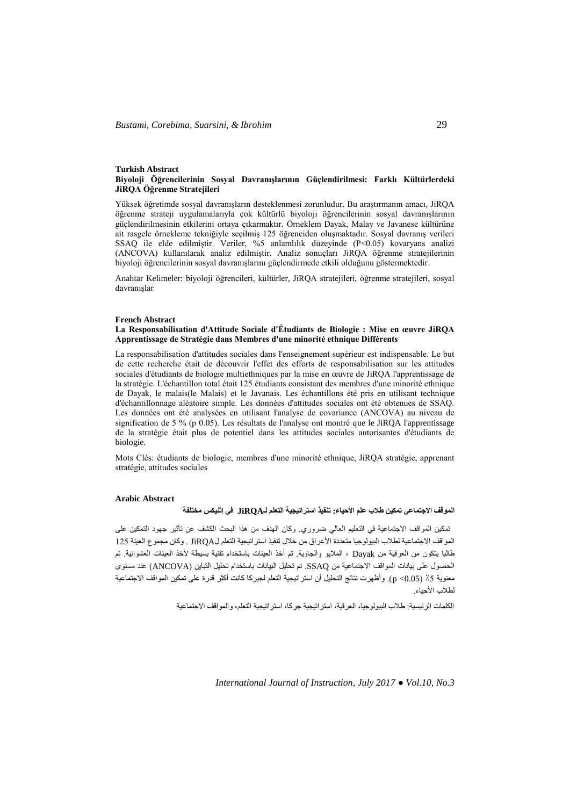#### **Turkish Abstract Biyoloji Öğrencilerinin Sosyal Davranışlarının Güçlendirilmesi: Farklı Kültürlerdeki JiRQA Öğrenme Stratejileri**

Yüksek öğretimde sosyal davranışların desteklenmesi zorunludur. Bu araştırmanın amacı, JiRQA öğrenme strateji uygulamalarıyla çok kültürlü biyoloji öğrencilerinin sosyal davranışlarının güçlendirilmesinin etkilerini ortaya çıkarmaktır. Örneklem Dayak, Malay ve Javanese kültürüne ait rasgele örnekleme tekniğiyle seçilmiş 125 öğrenciden oluşmaktadır. Sosyal davranış verileri SSAQ ile elde edilmiştir. Veriler, %5 anlamlılık düzeyinde (P<0.05) kovaryans analizi (ANCOVA) kullanılarak analiz edilmiştir. Analiz sonuçları JiRQA öğrenme stratejilerinin biyoloji öğrencilerinin sosyal davranışlarını güçlendirmede etkili olduğunu göstermektedir.

Anahtar Kelimeler: biyoloji öğrencileri, kültürler, JiRQA stratejileri, öğrenme stratejileri, sosyal davranışlar

#### **French Abstract**

#### **La Responsabilisation d'Attitude Sociale d'Étudiants de Biologie : Mise en œuvre JiRQA Apprentissage de Stratégie dans Membres d'une minorité ethnique Différents**

La responsabilisation d'attitudes sociales dans l'enseignement supérieur est indispensable. Le but de cette recherche était de découvrir l'effet des efforts de responsabilisation sur les attitudes sociales d'étudiants de biologie multiethniques par la mise en œuvre de JiRQA l'apprentissage de la stratégie. L'échantillon total était 125 étudiants consistant des membres d'une minorité ethnique de Dayak, le malais(le Malais) et le Javanais. Les échantillons été pris en utilisant technique d'échantillonnage aléatoire simple. Les données d'attitudes sociales ont été obtenues de SSAQ. Les données ont été analysées en utilisant l'analyse de covariance (ANCOVA) au niveau de signification de 5 % (p 0.05). Les résultats de l'analyse ont montré que le JiRQA l'apprentissage de la stratégie était plus de potentiel dans les attitudes sociales autorisantes d'étudiants de biologie.

Mots Clés: étudiants de biologie, membres d'une minorité ethnique, JiRQA stratégie, apprenant stratégie, attitudes sociales

#### **Arabic Abstract**

# **الموقف االجتماعي تمكين طالب علم األحياء: تنفيذ استراتيجية التعلم لـJiRQA في إثنيكس مختلفة**

تمكين المواقف االجتماعية في التعليم العالي ضروري. وكان الهدف من هذا البحث الكشف عن تأثير جهود التمكين على المواقف االجتماعية لطالب البيولوجيا متعددة األعراق من خالل تنفيذ استراتيجية التعلم لJiRQA . وكان مجموع العينة 521 طالبا يتكون من العرقية من Dayak ، الماليو والجاوية. تم أخذ العينات باستخدام تقنية بسيطة ألخذ العينات العشوائية. تم الحصول على بيانات المواقف االجتماعية من SSAQ. تم تحليل البيانات باستخدام تحليل التباين )ANCOVA )عند مستوى معنوية ٪1 )0.05> p). وأظهرت نتائج التحليل أن استراتيجية التعلم لجيركا كانت أكثر قدرة على تمكين المواقف االجتماعية لطلاب الأحياء.

الكلمات الرئيسية: طالب البيولوجيا، العرقية، استراتيجية جركا، استراتيجية التعلم، والمواقف االجتماعية